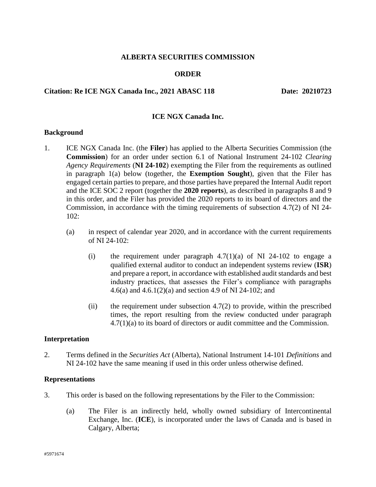### **ALBERTA SECURITIES COMMISSION**

### **ORDER**

## **Citation: Re ICE NGX Canada Inc., 2021 ABASC 118 Date: 20210723**

### **ICE NGX Canada Inc.**

#### **Background**

- 1. ICE NGX Canada Inc. (the **Filer**) has applied to the Alberta Securities Commission (the **Commission**) for an order under section 6.1 of National Instrument 24-102 *Clearing Agency Requirements* (**NI 24-102**) exempting the Filer from the requirements as outlined in paragraph 1(a) below (together, the **Exemption Sought**), given that the Filer has engaged certain parties to prepare, and those parties have prepared the Internal Audit report and the ICE SOC 2 report (together the **2020 reports**), as described in paragraphs 8 and 9 in this order, and the Filer has provided the 2020 reports to its board of directors and the Commission, in accordance with the timing requirements of subsection 4.7(2) of NI 24- 102:
	- (a) in respect of calendar year 2020, and in accordance with the current requirements of NI 24-102:
		- (i) the requirement under paragraph  $4.7(1)(a)$  of NI 24-102 to engage a qualified external auditor to conduct an independent systems review (**ISR**) and prepare a report, in accordance with established audit standards and best industry practices, that assesses the Filer's compliance with paragraphs 4.6(a) and 4.6.1(2)(a) and section 4.9 of NI 24-102; and
		- (ii) the requirement under subsection  $4.7(2)$  to provide, within the prescribed times, the report resulting from the review conducted under paragraph 4.7(1)(a) to its board of directors or audit committee and the Commission.

#### **Interpretation**

2. Terms defined in the *Securities Act* (Alberta), National Instrument 14-101 *Definitions* and NI 24-102 have the same meaning if used in this order unless otherwise defined.

#### **Representations**

- 3. This order is based on the following representations by the Filer to the Commission:
	- (a) The Filer is an indirectly held, wholly owned subsidiary of Intercontinental Exchange, Inc. (**ICE**), is incorporated under the laws of Canada and is based in Calgary, Alberta;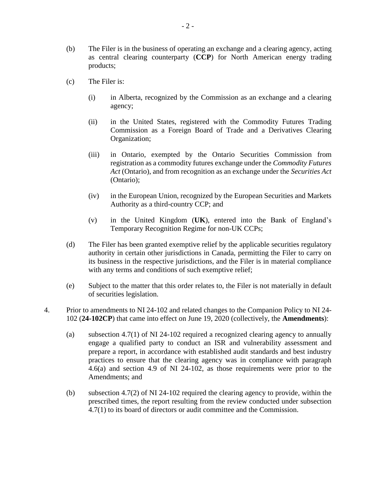- (b) The Filer is in the business of operating an exchange and a clearing agency, acting as central clearing counterparty (**CCP**) for North American energy trading products;
- (c) The Filer is:
	- (i) in Alberta, recognized by the Commission as an exchange and a clearing agency;
	- (ii) in the United States, registered with the Commodity Futures Trading Commission as a Foreign Board of Trade and a Derivatives Clearing Organization;
	- (iii) in Ontario, exempted by the Ontario Securities Commission from registration as a commodity futures exchange under the *Commodity Futures Act* (Ontario), and from recognition as an exchange under the *Securities Act* (Ontario);
	- (iv) in the European Union, recognized by the European Securities and Markets Authority as a third-country CCP; and
	- (v) in the United Kingdom (**UK**), entered into the Bank of England's Temporary Recognition Regime for non-UK CCPs;
- (d) The Filer has been granted exemptive relief by the applicable securities regulatory authority in certain other jurisdictions in Canada, permitting the Filer to carry on its business in the respective jurisdictions, and the Filer is in material compliance with any terms and conditions of such exemptive relief;
- (e) Subject to the matter that this order relates to, the Filer is not materially in default of securities legislation.
- 4. Prior to amendments to NI 24-102 and related changes to the Companion Policy to NI 24- 102 (**24-102CP**) that came into effect on June 19, 2020 (collectively, the **Amendments**):
	- (a) subsection 4.7(1) of NI 24-102 required a recognized clearing agency to annually engage a qualified party to conduct an ISR and vulnerability assessment and prepare a report, in accordance with established audit standards and best industry practices to ensure that the clearing agency was in compliance with paragraph 4.6(a) and section 4.9 of NI 24-102, as those requirements were prior to the Amendments; and
	- (b) subsection 4.7(2) of NI 24-102 required the clearing agency to provide, within the prescribed times, the report resulting from the review conducted under subsection 4.7(1) to its board of directors or audit committee and the Commission.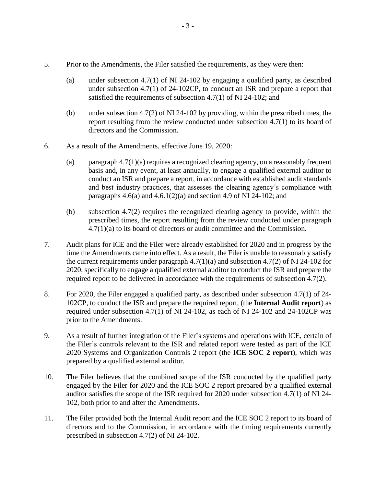- 5. Prior to the Amendments, the Filer satisfied the requirements, as they were then:
	- (a) under subsection 4.7(1) of NI 24-102 by engaging a qualified party, as described under subsection 4.7(1) of 24-102CP, to conduct an ISR and prepare a report that satisfied the requirements of subsection 4.7(1) of NI 24-102; and
	- (b) under subsection 4.7(2) of NI 24-102 by providing, within the prescribed times, the report resulting from the review conducted under subsection 4.7(1) to its board of directors and the Commission.
- 6. As a result of the Amendments, effective June 19, 2020:
	- (a) paragraph 4.7(1)(a) requires a recognized clearing agency, on a reasonably frequent basis and, in any event, at least annually, to engage a qualified external auditor to conduct an ISR and prepare a report, in accordance with established audit standards and best industry practices, that assesses the clearing agency's compliance with paragraphs  $4.6(a)$  and  $4.6.1(2)(a)$  and section  $4.9$  of NI 24-102; and
	- (b) subsection 4.7(2) requires the recognized clearing agency to provide, within the prescribed times, the report resulting from the review conducted under paragraph 4.7(1)(a) to its board of directors or audit committee and the Commission.
- 7. Audit plans for ICE and the Filer were already established for 2020 and in progress by the time the Amendments came into effect. As a result, the Filer is unable to reasonably satisfy the current requirements under paragraph  $4.7(1)(a)$  and subsection  $4.7(2)$  of NI 24-102 for 2020, specifically to engage a qualified external auditor to conduct the ISR and prepare the required report to be delivered in accordance with the requirements of subsection 4.7(2).
- 8. For 2020, the Filer engaged a qualified party, as described under subsection 4.7(1) of 24- 102CP, to conduct the ISR and prepare the required report, (the **Internal Audit report**) as required under subsection 4.7(1) of NI 24-102, as each of NI 24-102 and 24-102CP was prior to the Amendments.
- 9. As a result of further integration of the Filer's systems and operations with ICE, certain of the Filer's controls relevant to the ISR and related report were tested as part of the ICE 2020 Systems and Organization Controls 2 report (the **ICE SOC 2 report**), which was prepared by a qualified external auditor.
- 10. The Filer believes that the combined scope of the ISR conducted by the qualified party engaged by the Filer for 2020 and the ICE SOC 2 report prepared by a qualified external auditor satisfies the scope of the ISR required for 2020 under subsection 4.7(1) of NI 24- 102, both prior to and after the Amendments.
- 11. The Filer provided both the Internal Audit report and the ICE SOC 2 report to its board of directors and to the Commission, in accordance with the timing requirements currently prescribed in subsection 4.7(2) of NI 24-102.